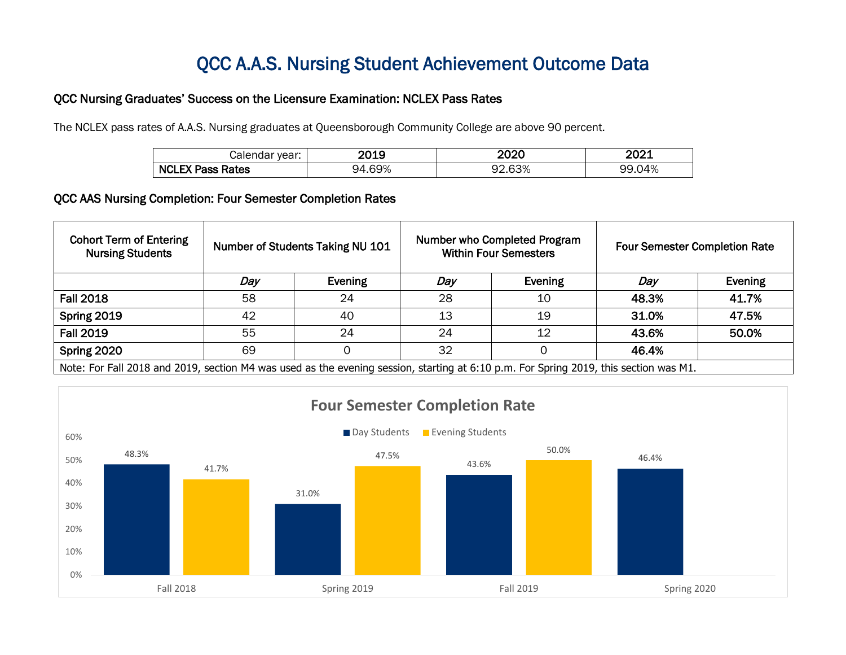## QCC A.A.S. Nursing Student Achievement Outcome Data

## QCC Nursing Graduates' Success on the Licensure Examination: NCLEX Pass Rates

The NCLEX pass rates of A.A.S. Nursing graduates at Queensborough Community College are above 90 percent.

| vear:<br>⊖ונ<br>$\overline{1}$ | ה ו הר<br>. .<br>-UIJ | חמחה<br>ZVZY         | ~~~<br>77 V<br>----<br>____ |
|--------------------------------|-----------------------|----------------------|-----------------------------|
| <b>NCL</b><br>Rates            | .69%<br>94            | $\sim$<br>∩י<br>.63% | ነ4%<br>uu                   |

## QCC AAS Nursing Completion: Four Semester Completion Rates

| <b>Cohort Term of Entering</b><br><b>Nursing Students</b>                                                                             | Number of Students Taking NU 101 |         | Number who Completed Program<br><b>Within Four Semesters</b> |         | <b>Four Semester Completion Rate</b> |         |
|---------------------------------------------------------------------------------------------------------------------------------------|----------------------------------|---------|--------------------------------------------------------------|---------|--------------------------------------|---------|
|                                                                                                                                       | Day                              | Evening | Day                                                          | Evening | Day                                  | Evening |
| <b>Fall 2018</b>                                                                                                                      | 58                               | 24      | 28                                                           | 10      | 48.3%                                | 41.7%   |
| Spring 2019                                                                                                                           | 42                               | 40      | 13                                                           | 19      | 31.0%                                | 47.5%   |
| <b>Fall 2019</b>                                                                                                                      | 55                               | 24      | 24                                                           | 12      | 43.6%                                | 50.0%   |
| Spring 2020                                                                                                                           | 69                               |         | 32                                                           |         | 46.4%                                |         |
| Note: For Fall 2018 and 2019, section M4 was used as the evening session, starting at 6:10 p.m. For Spring 2019, this section was M1. |                                  |         |                                                              |         |                                      |         |

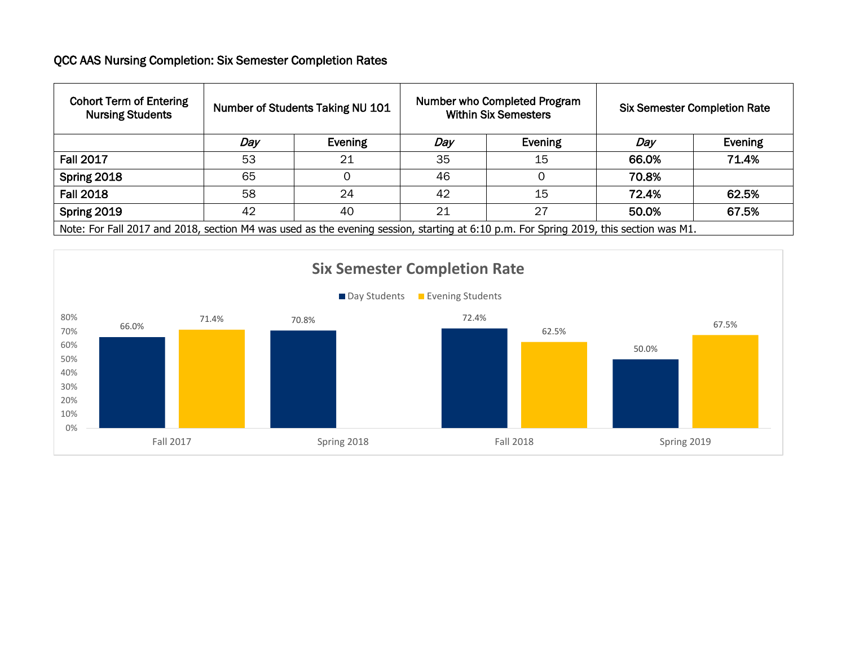## QCC AAS Nursing Completion: Six Semester Completion Rates

| <b>Cohort Term of Entering</b><br><b>Nursing Students</b>                                                                             | Number of Students Taking NU 101 |         | Number who Completed Program<br><b>Within Six Semesters</b> |         | <b>Six Semester Completion Rate</b> |         |
|---------------------------------------------------------------------------------------------------------------------------------------|----------------------------------|---------|-------------------------------------------------------------|---------|-------------------------------------|---------|
|                                                                                                                                       | Day                              | Evening | Day                                                         | Evening | Day                                 | Evening |
| <b>Fall 2017</b>                                                                                                                      | 53                               | 21      | 35                                                          | 15      | 66.0%                               | 71.4%   |
| Spring 2018                                                                                                                           | 65                               |         | 46                                                          |         | 70.8%                               |         |
| <b>Fall 2018</b>                                                                                                                      | 58                               | 24      | 42                                                          | 15      | 72.4%                               | 62.5%   |
| Spring 2019                                                                                                                           | 42                               | 40      | 21                                                          | 27      | 50.0%                               | 67.5%   |
| Note: For Fall 2017 and 2018, section M4 was used as the evening session, starting at 6:10 p.m. For Spring 2019, this section was M1. |                                  |         |                                                             |         |                                     |         |